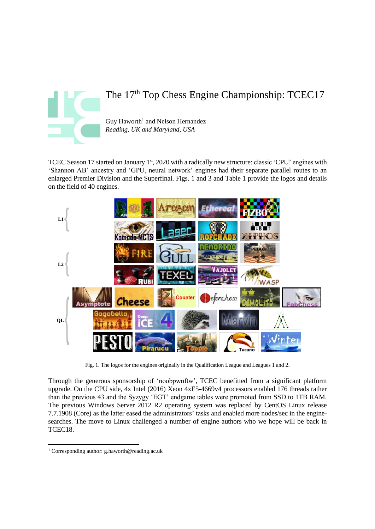

# The 17<sup>th</sup> Top Chess Engine Championship: TCEC17

Guy Haworth<sup>1</sup> and Nelson Hernandez *Reading, UK and Maryland, USA*

TCEC Season 17 started on January 1<sup>st</sup>, 2020 with a radically new structure: classic 'CPU' engines with 'Shannon AB' ancestry and 'GPU, neural network' engines had their separate parallel routes to an enlarged Premier Division and the Superfinal. Figs. 1 and 3 and Table 1 provide the logos and details on the field of 40 engines.



Fig. 1. The logos for the engines originally in the Qualification League and Leagues 1 and 2.

Through the generous sponsorship of 'noobpwnftw', TCEC benefitted from a significant platform upgrade. On the CPU side, 4x Intel (2016) Xeon 4xE5-4669v4 processors enabled 176 threads rather than the previous 43 and the Syzygy 'EGT' endgame tables were promoted from SSD to 1TB RAM. The previous Windows Server 2012 R2 operating system was replaced by CentOS Linux release 7.7.1908 (Core) as the latter eased the administrators' tasks and enabled more nodes/sec in the enginesearches. The move to Linux challenged a number of engine authors who we hope will be back in TCEC18.

<sup>1</sup> Corresponding author: g.haworth@reading.ac.uk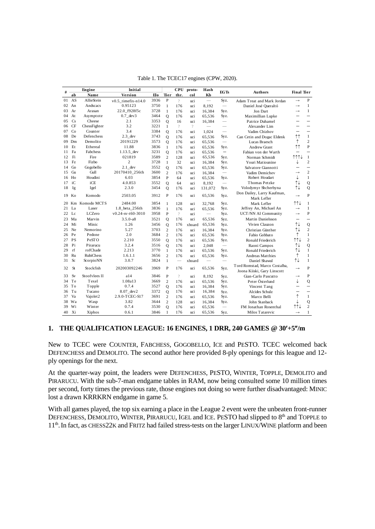|    |           |                      |                      |      |                |                          |          | Table 1. The TCEC17 engines (CPW, 2020). |                                 |                                           |                                         |                               |
|----|-----------|----------------------|----------------------|------|----------------|--------------------------|----------|------------------------------------------|---------------------------------|-------------------------------------------|-----------------------------------------|-------------------------------|
| #  |           | Engine               | Initial              |      |                | CPU                      | proto-   | Hash                                     | <b>EGTs</b>                     | <b>Authors</b>                            | <b>Final Tier</b>                       |                               |
|    | ab        | Name                 | Version              | Ыo   | Tier           | thr.                     | col      | KЪ                                       |                                 |                                           |                                         |                               |
| 01 | AS        | AllieStein           | $v0.5$ timefix-n14.0 | 3936 | $\mathbf P$    | $\overline{\phantom{a}}$ | uci      |                                          | Syz.                            | Adam Treat and Mark Jordan                | $\rightarrow$                           | $\mathbf{P}$                  |
| 02 | An        | Andscacs             | 0.95123              | 3750 | $\mathbf{1}$   | 176                      | uci      | 8.192                                    |                                 | Daniel José Queraltó                      | $\rightarrow$                           | $\mathbf{1}$                  |
| 03 | Ar        | Arasan               | 22.0 f928f5c         | 3728 | $\mathbf{1}$   | 176                      | uci      | 16,384                                   | Syz.                            | Jon Dart                                  | $\rightarrow$                           | 1                             |
| 04 | At        | Asymptote            | $0.7$ dev $3$        | 3464 | $\mathbf{O}$   | 176                      | uci      | 65,536                                   | Syz.                            | Maximillian Lupke                         |                                         |                               |
| 05 | Cs        | Cheese               | 2.1                  | 3353 | $\mathbf{O}$   | 16                       | uci      | 16,384                                   | $\overline{\phantom{m}}$        | Patrice Duhamel                           |                                         |                               |
| 06 | <b>CF</b> | ChessFighter         | 3.2                  | 3221 | $\mathbf{1}$   | $\overline{\phantom{a}}$ | $\gamma$ | $\overline{\phantom{a}}$                 | $\overline{\phantom{0}}$        | Alexander Lim                             |                                         |                               |
| 07 | Co        | Counter              | 3.4                  | 3384 | $\mathbf{O}$   | 176                      | uci      | 1,024                                    |                                 | Vadim Chizhov                             | $\overline{\phantom{a}}$                | $\overline{\phantom{0}}$      |
| 08 | De        | Defenchess           | $2.3$ dev            | 3743 | $\mathbf Q$    | 176                      | uci      | 65,536                                   | Syz.                            | Can Cetin and Dogac Eldenk                | ↑↑                                      | $\mathbf{1}$                  |
| 09 | Dm        | Demolito             | 20191229             | 3573 | $\overline{Q}$ | 176                      | uci      | 65,536                                   | $\overline{\phantom{0}}$        | Lucas Braesch                             | ↑                                       | $\overline{c}$                |
| 10 | Et        | Ethereal             | 11.88                | 3836 | $\mathbf{1}$   | 176                      | uci      | 65,536                                   | Syz.                            | Andrew Grant                              | ↑↑                                      | P                             |
| 11 | Fa        | Fabchess             | $1.13.5$ _dev        | 3231 | $\overline{Q}$ | 176                      | uci      | 65,536                                   | $\qquad \qquad -$               | Fabian von der Warth                      |                                         | $\overline{\phantom{a}}$      |
| 12 | Fi        | Fire                 | 021819               | 3589 | $\overline{c}$ | 128                      | uci      | 65,536                                   | Syz.                            | Norman Schmidt                            | $\uparrow \uparrow \uparrow \downarrow$ | $\mathbf{1}$                  |
| 13 | Fz        | Fizbo                | $\overline{c}$       | 3728 | $\mathbf{1}$   | 32                       | uci      | 16,384                                   | Syz.                            | Youri Matiounine                          | ↓                                       | $\overline{c}$                |
| 14 | Go        | Gogobello            | $2.1$ dev            | 3552 | $\overline{Q}$ | 176                      | uci      | 65,536                                   | Syz.                            | Salvatore Giannotti                       |                                         | $\overline{\phantom{0}}$      |
| 15 | Gu        | Gull                 | 20170410_256th       | 3600 | $\overline{c}$ | 176                      | uci      | 16,384                                   | $\overbrace{\qquad \qquad }^{}$ | Vadim Demichev                            | $\rightarrow$                           | $\overline{c}$                |
| 16 | Ho        | Houdini              | 6.03                 | 3854 | $\mathbf{P}$   | 64                       | uci      | 65,536                                   | Syz.                            | Robert Houdart                            | ↓                                       | 1                             |
| 17 | iC        | iCE                  | 4.0.853              | 3552 | Q              | 64                       | uci      | 8,192                                    | $\overline{\phantom{0}}$        | Thomas Petzke                             | ↑↓                                      | Q                             |
| 18 | Ig        | Igel                 | 2.3.0                | 3454 | Q              | 176                      | uci      | 131,072                                  | Syz.                            | Volodymyr Shcherbyna                      | ↑↓                                      | Q                             |
|    | 19 Ko     | Komodo               | 2503.05              | 3912 | $\mathbf{P}$   | 176                      | uci      | 65,536                                   | Syz.                            | Don Dailey, Larry Kaufman,<br>Mark Lefler | $\rightarrow$                           | $\mathbf{P}$                  |
| 20 |           | Km Komodo MCTS       | 2484.00              | 3854 | 1              | 128                      | uci      | 32,768                                   | Syz.                            | Mark Lefler                               | 111                                     | $\mathbf{1}$                  |
| 21 | La        | Laser                | 1.8_beta_256th       | 3836 | 1              | 176                      | uci      | 65,536                                   | Syz.                            | Jeffrey An, Michael An                    | $\rightarrow$                           | $\mathbf{1}$                  |
| 22 | Lc        | LCZero               | $v0.24$ -sv-t60-3010 | 3958 | $\mathbf{P}$   | $\overline{?}$           | uci      | $\qquad \qquad -$                        | Syz.                            | UCT/NN AI Community                       | $\rightarrow$                           | $\mathbf{P}$                  |
| 23 | Ma        | Marvin               | $3.5.0 - a8$         | 3521 | Q              | 176                      | uci      | 65,536                                   | Syz.                            | Martin Danielsson                         | $\overline{\phantom{0}}$                | $\overline{\phantom{0}}$      |
| 24 | Mi        | Minic                | 1.26                 | 3456 | $\overline{Q}$ | 176                      | xboard   | 65,536                                   | Syz.                            | Vivien Clauzon                            | ↑↓                                      | Q                             |
| 25 | Ne        | Nemorino             | 5.27                 | 3703 | $\overline{c}$ | 176                      | uci      | 16,384                                   | Syz.                            | Christian Günther                         | ⇅                                       | $\overline{c}$                |
| 26 | Pe        | Pedone               | 2.0                  | 3684 | $\overline{c}$ | 176                      | uci      | 65,536                                   | Syz.                            | Fabio Gobbato                             | ↑                                       | $\mathbf{1}$                  |
| 27 | <b>PS</b> | PeSTO                | 2.210                | 3550 | $\overline{Q}$ | 176                      | uci      | 65,536                                   | Syz.                            | Ronald Friederich                         | $\uparrow \uparrow \downarrow$          | $\overline{c}$                |
| 28 | Pi        | Pirarucu             | 3.2.4                | 3516 | $\mathbf{O}$   | 176                      | uci      | 2.048                                    |                                 | Raoni Campos                              | ↑↓                                      | Q                             |
| 29 | rf        | rofChade             | 2.213                | 3770 | $\mathbf{1}$   | 176                      | uci      | 65,536                                   | Syz.                            | Ronald Friederich                         | ⇅                                       | $\mathbf{1}$                  |
| 30 | Ru        | <b>RubiChess</b>     | 1.6.1.1              | 3656 | $\overline{c}$ | 176                      | uci      | 65,536                                   | Syz.                            | <b>Andreas Matthies</b>                   | ↑                                       | $\mathbf{1}$                  |
| 31 | Sc        | ScorpioNN            | 3.0.7                | 3824 | $\mathbf{1}$   |                          | xboard   |                                          | $\overline{\phantom{a}}$        | Daniel Shawul                             | ↑↓                                      | $\mathbf{1}$                  |
| 32 | <b>St</b> | Stockfish            | 202003092246         | 3969 | P              | 176                      | uci      | 65,536                                   | Syz.                            | Tord Romstad, Marco Costalba,             | $\rightarrow$                           | $\mathbf{P}$                  |
| 33 | Sv        | Stoofvlees II        | a14                  | 3846 | P              | $\overline{\phantom{a}}$ |          |                                          |                                 | Joona Kiiski, Gary Linscott               | $\rightarrow$                           | P                             |
| 34 | Te        | Texel                | 1.08a13              | 3669 |                |                          | uci      | 8,192                                    | Syz.                            | Gian-Carlo Pascutto                       | ↓                                       |                               |
| 35 | To        | Topple               | 0.7.4                | 3527 | $\overline{c}$ | 176                      | uci      | 65,536                                   | Syz.                            | Peter Österlund                           |                                         | Q<br>$\overline{\phantom{0}}$ |
|    | Tu        | Tucano               |                      | 3372 | $\overline{Q}$ | 176<br>176               | uci      | 16.384                                   | Syz.                            | Vincent Tang                              |                                         |                               |
| 36 | Va        |                      | $8.07$ _dev2         |      | $\mathbf{O}$   |                          | uci      | 16,384                                   | Syz.                            | Alcides Schulz                            | $\uparrow$                              |                               |
| 37 |           | Vajolet <sub>2</sub> | 2.9.0-TCEC-S17       | 3691 | $\overline{c}$ | 176                      | uci      | 65,536                                   | Syz.                            | Marco Belli                               |                                         | $\mathbf{1}$                  |
| 38 | Wa        | Wasp                 | 3.82                 | 3644 | $\overline{c}$ | 128                      | uci      | 16,384                                   | Syz.                            | John Stanback                             | ↓                                       | Q                             |
| 39 | Wi        | Winter               | 0.7.4                | 3530 | Q              | 176                      | uci      | 65,536                                   | $\overbrace{\qquad \qquad }^{}$ | FM Jonathan Rosenthal                     | ↑↑↓                                     | $\overline{c}$                |
| 40 | Xi        | Xiphos               | 0.6.1                | 3846 | $\mathbf{1}$   | 176                      | uci      | 65,536                                   | Syz.                            | Milos Tatarevic                           | $\rightarrow$                           | $\mathbf{1}$                  |

## **1. THE QUALIFICATION LEAGUE: 16 ENGINES, 1 DRR, 240 GAMES @ 30+5/m**

New to TCEC were COUNTER, FABCHESS, GOGOBELLO, ICE and PESTO. TCEC welcomed back DEFENCHESS and DEMOLITO. The second author here provided 8-ply openings for this league and 12 ply openings for the next.

At the quarter-way point, the leaders were DEFENCHESS, PESTO, WINTER, TOPPLE, DEMOLITO and PIRARUCU. With the sub-7-man endgame tables in RAM, now being consulted some 10 million times per second, forty times the previous rate, those engines not doing so were further disadvantaged: MINIC lost a drawn KRRKRN endgame in game 5.

With all games played, the top six earning a place in the League 2 event were the unbeaten front-runner DEFENCHESS, DEMOLITO, WINTER, PIRARUCU, IGEL and ICE. PESTO had slipped to 8<sup>th</sup> and TOPPLE to 11<sup>th</sup>. In fact, as CHESS22K and FRITZ had failed stress-tests on the larger LINUX/WINE platform and been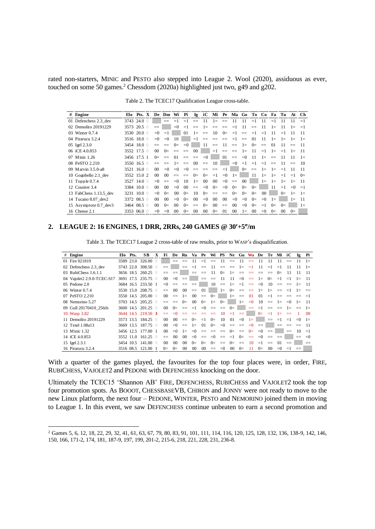rated non-starters, MINIC and PESTO also stepped into League 2. Wool (2020), assiduous as ever, touched on some 50 games.<sup>2</sup> Chessdom (2020a) highlighted just two, g49 and g202.

| $#$ Engine             |             | Elo Pts. X  |          | De Dm Wi Pi Ig iC Mi Pe Ma Go To Co Fa Tu At Ch |                 |                 |                   |                 |                          |                          |                 |                   |         |                 |                |           |           |           |
|------------------------|-------------|-------------|----------|-------------------------------------------------|-----------------|-----------------|-------------------|-----------------|--------------------------|--------------------------|-----------------|-------------------|---------|-----------------|----------------|-----------|-----------|-----------|
| 01 Defenchess 2.3 dev  |             | 3743 24.0 0 |          | $- -$                                           | $=1$            | $=1$            | $\qquad \qquad -$ | 11              | $1\equiv$                | $-$                      | -11             | 11                | $=1$    | 11              | $=1$           | 11        | 11        | $=1$      |
| 02 Demolito 20191229   | 3573        | $20.5$ 0    | $--$     |                                                 | $= 0$           | $=1$            | $==$              | $1 -$           | $==$                     | $=$                      | $=1$            | 11                | $=$     | 11              | $1\equiv$      | 11        | $1\equiv$ | $=1$      |
| 03 Winter 0.7.4        | 3530        | $20.0$ 0    | $= 0$    | $=1$                                            |                 | 01              | $1 =$             | $==$            | 10                       | $0=$                     | $=1$            | $\qquad \qquad -$ | $=1$    | $=1$            |                | $=1$      | 11        | 11        |
| 04 Pirarucu 3.2.4      |             | 3516 18.0 0 | $= 0$    | $= 0$                                           | 10              |                 | $=1$              | $==$            | $\qquad \qquad \qquad -$ | $==$                     | $=1$            | $=$               | $_{01}$ | 11              | $1\equiv$      | $1 -$     | $1\equiv$ | $1 =$     |
| 05 Igel 2.3.0          |             | 3454 18.0 0 |          |                                                 | $0=$            | $= 0$           |                   | 11              | $==$                     | 11                       | $==$            | $1 =$             | $0=$    | $==$            | 0 <sub>1</sub> |           |           | -11       |
| 06 iCE 4.0.853         | 3552 17.5 0 |             | $\Omega$ | $0=$                                            | $==$            | $==$            | 00                |                 | $=1$                     | $==$                     | $=$             | $1 =$             | 11      | $=1$            | $1\equiv$      | $=1$      | $1 =$     | -11       |
| 07 Minic 1.26          | 3456 17.5 1 |             | $0=$     | $==$                                            | $\Omega$        | $==$            | $==$              | $= 0$           |                          | 01                       | $==$            | $= 0$             | -11     | $1 =$           | $==$           | -11       | 11        | $1\equiv$ |
| 08 PeSTO 2.210         |             | 3550 16.5 0 | $==$     | $\qquad \qquad -$                               | $1 =$           | $==$            | 00                | $=$             | 10                       |                          | $= 0$           | $=1$              | $=1$    | $=1$            | $=$            | -11       | $=$       | -10       |
| 09 Marvin 3.5.0-a8     |             | 3521 16.0 0 | $00 -$   | $= 0$                                           | $= 0$           | $= 0$           | $==$              | $=$             | $==$                     | $=1$                     |                 | $0=$              | $=$     | $1=$            | $1 =$          | $=1$      | 11        | $-11$     |
| 10 Gogobello 2.1 dev   |             | 3552 15.0 2 | $\Omega$ | 00 <sup>1</sup>                                 | $==$            | $=$             | $0=$              | $0=$            | $=1$                     | $= 0$                    | $1 =$           |                   | -11     | $1=$            | $1 =$          | $=1$      | $=1$      | $0=$      |
| 11 Topple 0.7.4        |             | 3527 14.0 0 | $= 0$    | $==$                                            | $= 0$           | 10              | $1 =$             | 00 <sup>1</sup> | $00\,$                   | $= 0$                    | $==$            | 0 <sup>0</sup>    |         | $1\equiv$       | $1 =$          | $1\equiv$ | $1 =$     | -11       |
| 12 Counter 3.4         | 3384 10.0 0 |             | $\Omega$ | 0 <sup>0</sup>                                  | $= 0$           | 00 <sup>0</sup> | $==$              | $= 0$           | $0=$                     | $= 0$                    | $0=$            | $0=$              | $0=$    |                 | 11             | $=1$      | $= 0$     | $=1$      |
| 13 FabChess 1.13.5 dev | 3231        | $10.0$ 0    | $= 0$    | $0=$                                            | $^{00}$         | $0=$            | 10                | $0=$            | $\qquad \qquad \qquad -$ | $\qquad \qquad \qquad -$ | $0=$            | $0=$              | $0=$    | 00 <sup>1</sup> |                | $0=$      | $1\equiv$ | $1=$      |
| 14 Tucano 8.07 dev2    |             | 3372 08.5 0 | $\Omega$ | 0 <sup>0</sup>                                  | $= 0$           | $0=$            | 00                | $= 0$           | 00                       | $00\,$                   | $= 0$           | $= 0$             | $0=$    | $= 0$           | $1=$           |           | $1\equiv$ | 11        |
| 15 Asymptote 0.7 dev3  |             | 3464 08.5 0 | $\Omega$ | $0=$                                            | 00 <sup>2</sup> | $0=$            | $==$              | $0=$            | $^{00}$                  | $==$                     | 00 <sup>0</sup> | $= 0$             | $0=$    | $=1$            | $0=$           | $0=$      |           | $1 =$     |
| 16 Cheese 2.1          | 3353        | $06.0$ 0    | $= 0$    | $= 0$                                           | 00 <sup>2</sup> | $0=$            | 00                | $00\,$          | $0=$                     | 01                       | 00              | $1 =$             | $00\,$  | $= 0$           | $0=$           | $00\,$    | $0=$      |           |
|                        |             |             |          |                                                 |                 |                 |                   |                 |                          |                          |                 |                   |         |                 |                |           |           |           |

Table 2. The TCEC17 Qualification League cross-table.

### 2. LEAGUE 2: 16 ENGINES, 1 DRR, 2RRs, 240 GAMES @ 30'+5"/m

Table 3. The TCEC17 League 2 cross-table of raw results, prior to WASP's disqualification.

| # Engine                   | Elo Pts.  | SВ                   | X | Fi              | De              | Ru                | Va Pe            |                  |              |                                      |        |       | Wi PS Ne Gu Wa De          |          | Te         | Mi iC       |             | Ig       | Pi             |
|----------------------------|-----------|----------------------|---|-----------------|-----------------|-------------------|------------------|------------------|--------------|--------------------------------------|--------|-------|----------------------------|----------|------------|-------------|-------------|----------|----------------|
| 01 Fire 021819             | 3589 23.0 | $326.00 \quad \odot$ |   |                 | $-\!$ $\!-$     | $-\!$ $\!-$       | 11               | $=1$             | $--$         | - 11                                 | $--$   | - 11  | $\longrightarrow$          | -11      | -11        | 11          | $-\!$ $\!-$ | 11       | $1 =$          |
| 02 Defenchess 2.3 dev      | 3743 22.0 | $308.50$ 0           |   | $-\!$ $\!-$     |                 | $\qquad \qquad -$ | $=1$             | $=$              | 11           |                                      |        | $1 =$ | $=1$                       | 11       | $=1$       | $=1$        | 11          | 11       | $1\equiv$      |
| 03 RubiChess 1.6.1.1       |           | 3656 18.5 260.25     |   | $-\!$ $\!-$     | $-\!$ $\!-$     |                   | $-\!$ $\!-$      | $-\!$ $\!-$      | -11          | $0=$                                 | $1 =$  | $--$  | $\hspace{0.5cm}$           | $--$     | $-\!-\!$   | $0=$        | 11          | 11       | -11            |
| 04 Vajolet2 2.9.0-TCEC-S17 |           | 3691 17.5 235.75 0   |   | 00 <sup>1</sup> | $= 0$           | $==$              |                  | $==$             | $==$         | -11                                  | -11    | $= 0$ | $=$                        | $1=$     | $0=$       | $=1$        | $=1$        | $1 =$    | -11            |
| $0.5$ Pedone $2.0$         |           | 3684 16.5 233.50 1   |   | $= 0$           | $=$             |                   |                  |                  | 10           |                                      |        |       | $== 1 = -1 = -0$           |          | - 10       | $=$         | $--$        | $1 =$    | - 11           |
| 06 Winter 0.7.4            |           | 3530 15.0 208.75 0   |   | $=$             | $\Omega$        | 00 <sup>1</sup>   | $=$              | $\Omega$         |              |                                      |        |       | $1 = 0 = 2 = 1$            |          | $1 =$      | $=$         | $=1$ $1=$   |          | $---$          |
| 07 PeSTO 2.210             |           | 3550 14.5 205.00 0   |   | $00 -$          | $=$             | $1\equiv$         | 00 <sup>1</sup>  | $=$              | $0=$         |                                      | $1 =$  | $=$   | 01                         | 01       | $=1$       | $--$        |             |          |                |
| 08 Nemorino 5.27           |           | 3703 14.5 205.25 0   |   | $==$            | $=$             | $Q=$              | $00\,$           | $0=$             | $1 =$        | $0=$                                 |        | $1 =$ | $= 0$                      |          | $10 = 1 =$ |             | $=0$ 1=     |          | - 11           |
| 09 Gull 20170410 256th     |           | 3600 14.5 201.25 0   |   | $00 -$          | $0=$            | $=$               | $=1$             |                  | $=0$ $=$ $=$ |                                      | $0=$   |       |                            | $== = 1$ |            | $= 2$ $= 1$ |             | $= 1$    |                |
| 10 Wasp 3.82               |           | 3644 14.5 219.50 3   |   | $=$             | $= 0$           | $=$               | $\hspace{0.5cm}$ | $\hspace{0.5cm}$ | $=$          | 10                                   | $=1$   | $=$   |                            | $0=$     | $=1$       | $1 =$       | $=$         |          | 0 <sup>0</sup> |
| 11 Demolito 20191229       |           | 3573 13.5 184.25 0   |   | $00 -$          | 00 <sup>2</sup> |                   | $=$ 0=           | $=1$             | $0=$         | - 10                                 | 01     | $= 0$ | $1 =$                      |          | $=$        |             | $=1$ $=1$   | $= 0$    | $1 =$          |
| 12 Texel 1.08a13           |           | 3669 13.5 187.75 0   |   | 00 <sup>1</sup> | $= 0$           | $== 1=$           |                  | 01               |              | $0 = 0 = 0 = 0$                      |        |       | $= 0$                      | $=$      |            | $--$        | $-\!$ –     | $-\!-\!$ | $-11$          |
| 13 Minic 1.32              |           | 3456 12.5 177.00 1   |   | $00 -$          | $= 0$           | $1\equiv$         |                  |                  |              | $=0$ $=$ $=$ $=$ $=$ $0$ $=$ $=$ $0$ |        |       |                            | $= 0$    | $=$        |             | $=$         | 10       | $=1$           |
| 14 iCE 4.0.853             |           | 3552 11.0 161.25 0   |   | $=$             | $^{00}$         | 00 <sup>1</sup>   | $= 0$            |                  |              |                                      |        |       | $== = 0 == = 1 0 = == = 0$ |          | $=$        | $=$         |             | $==$     | $= 0$          |
| 15 Igel 2.3.1              | 3454 10.5 | $141.00$ 0           |   | $^{00}$         | $^{00}$         | 00 <sup>1</sup>   | $0=$             | $0=$             | $0=$         | $=-$ 0=                              |        | $=$   | -10                        | $=1$     | $=$        | $\Omega$    | $=$         |          | $==$           |
| 16 Pirarucu 3.2.4          |           | 3516 08.5 121.00 1   |   | $0=$            | $0=$            | $00\,$            | 00               | 00 <sup>°</sup>  | $=$ $=$      | $= 0$                                | $00\,$ | $0=$  | 11                         | $0=$     | $\Omega$   | $= 0$       | $=1$        | $=$      |                |

With a quarter of the games played, the favourites for the top four places were, in order, FIRE, RUBICHESS, VAJOLET2 and PEDONE with DEFENCHESS knocking on the door.

Ultimately the TCEC15 'Shannon AB' FIRE, DEFENCHESS, RUBICHESS and VAJOLET2 took the top four promotion spots. As BOOOT, CHESSBASEVB, CHIRON and JONNY were not ready to move to the new Linux platform, the next four - PEDONE, WINTER, PESTO and NEMORINO joined them in moving to League 1. In this event, we saw DEFENCHESS continue unbeaten to earn a second promotion and

<sup>&</sup>lt;sup>2</sup> Games 5, 6, 12, 18, 22, 29, 32, 41, 61, 63, 67, 79, 80, 83, 91, 101, 111, 114, 116, 120, 125, 128, 132, 136, 138-9, 142, 146, 150, 166, 171-2, 174, 181, 187-9, 197, 199, 201-2, 215-6, 218, 221, 228, 231, 236-8.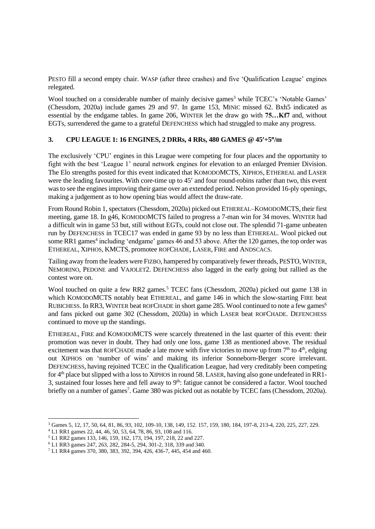PESTO fill a second empty chair. WASP (after three crashes) and five 'Qualification League' engines relegated.

Wool touched on a considerable number of mainly decisive games<sup>3</sup> while TCEC's 'Notable Games' (Chessdom, 2020a) include games 29 and 97. In game 153, MINIC missed 62. Bxh5 indicated as essential by the endgame tables. In game 206, WINTER let the draw go with **75…Kf7** and, without EGTs, surrendered the game to a grateful DEFENCHESS which had struggled to make any progress.

# **3. CPU LEAGUE 1: 16 ENGINES, 2 DRRs, 4 RRs, 480 GAMES @ 45+5/m**

The exclusively 'CPU' engines in this League were competing for four places and the opportunity to fight with the best 'League 1' neural network engines for elevation to an enlarged Premier Division. The Elo strengths posted for this event indicated that KOMODOMCTS, XIPHOS, ETHEREAL and LASER were the leading favourites. With core-time up to 45' and four round-robins rather than two, this event was to see the engines improving their game over an extended period. Nelson provided 16-ply openings, making a judgement as to how opening bias would affect the draw-rate.

From Round Robin 1, spectators (Chessdom, 2020a) picked out ETHEREAL–KOMODOMCTS, their first meeting, game 18. In g46, KOMODOMCTS failed to progress a 7-man win for 34 moves. WINTER had a difficult win in game 53 but, still without EGTs, could not close out. The splendid 71-game unbeaten run by DEFENCHESS in TCEC17 was ended in game 93 by no less than ETHEREAL. Wool picked out some RR1 games<sup>4</sup> including 'endgame' games 46 and 53 above. After the 120 games, the top order was ETHEREAL, XIPHOS, KMCTS, promotee ROFCHADE, LASER, FIRE and ANDSCACS.

Tailing away from the leaders were FIZBO, hampered by comparatively fewer threads, PESTO,WINTER, NEMORINO, PEDONE and VAJOLET2. DEFENCHESS also lagged in the early going but rallied as the contest wore on.

Wool touched on quite a few RR2 games. <sup>5</sup> TCEC fans (Chessdom, 2020a) picked out game 138 in which KOMODOMCTS notably beat ETHEREAL, and game 146 in which the slow-starting FIRE beat RUBICHESS. In RR3, WINTER beat ROFCHADE in short game 285. Wool continued to note a few games<sup>6</sup> and fans picked out game 302 (Chessdom, 2020a) in which LASER beat ROFCHADE. DEFENCHESS continued to move up the standings.

ETHEREAL, FIRE and KOMODOMCTS were scarcely threatened in the last quarter of this event: their promotion was never in doubt. They had only one loss, game 138 as mentioned above. The residual excitement was that ROFCHADE made a late move with five victories to move up from  $7<sup>th</sup>$  to  $4<sup>th</sup>$ , edging out XIPHOS on 'number of wins' and making its inferior Sonneborn-Berger score irrelevant. DEFENCHESS, having rejoined TCEC in the Qualification League, had very creditably been competing for 4<sup>th</sup> place but slipped with a loss to XIPHOS in round 58. LASER, having also gone undefeated in RR1-3, sustained four losses here and fell away to  $9<sup>th</sup>$ : fatigue cannot be considered a factor. Wool touched briefly on a number of games<sup>7</sup>. Game 380 was picked out as notable by TCEC fans (Chessdom, 2020a).

<sup>3</sup> Games 5, 12, 17, 50, 64, 81, 86, 93, 102, 109-10, 138, 149, 152. 157, 159, 180, 184, 197-8, 213-4, 220, 225, 227, 229.

<sup>4</sup> L1 RR1 games 22, 44, 46, 50, 53, 64, 78, 86, 93, 108 and 116.

<sup>5</sup> L1 RR2 games 133, 146, 159, 162, 173, 194, 197, 218, 22 and 227.

<sup>6</sup> L1 RR3 games 247, 263, 282, 284-5, 294, 301-2, 318, 339 and 340.

<sup>7</sup> L1 RR4 games 370, 380, 383, 392, 394, 426, 436-7, 445, 454 and 460.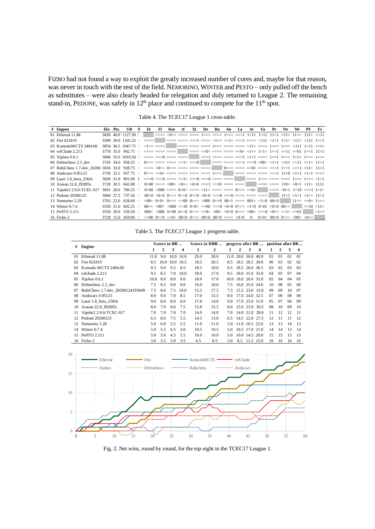FIZBO had not found a way to exploit the greatly increased number of cores and, maybe for that reason, was never in touch with the rest of the field. NEMORINO, WINTER and PESTO – only pulled off the bench as substitutes – were also clearly headed for relegation and duly returned to League 2. The remaining stand-in, PEDONE, was safely in  $12<sup>th</sup>$  place and continued to compete for the  $11<sup>th</sup>$  spot.

| # Engine                    |           | Elo Pts. | SB.                                                                                                       | $\mathbf{x}$ | Et                             | -Fi | Km. | rf | Xi | De | Ru | An | La | Ar | Va | Pe | Ne.                                                                                                                                   | Wi | PS. | Fz.     |
|-----------------------------|-----------|----------|-----------------------------------------------------------------------------------------------------------|--------------|--------------------------------|-----|-----|----|----|----|----|----|----|----|----|----|---------------------------------------------------------------------------------------------------------------------------------------|----|-----|---------|
| 01 Ethereal 11.88           |           |          | 3836 40.0 1127.50 0                                                                                       |              |                                |     |     |    |    |    |    |    |    |    |    |    | ==== =0== ==== ==== 1=== ==== 1=== ===1 1=11 1=11 11=1 =11= 11== 111= ==11                                                            |    |     |         |
| 02 Fire 021819              |           |          | 3589 39.0 1105.25 0                                                                                       |              | $=$ $=$ $=$ $=$ $\blacksquare$ |     |     |    |    |    |    |    |    |    |    |    |                                                                                                                                       |    |     |         |
| 03 KomodoMCTS 2484.00       |           |          | 3854 36.5 1047.75 0                                                                                       |              |                                |     |     |    |    |    |    |    |    |    |    |    |                                                                                                                                       |    |     |         |
| 04 rofChade 2.213           |           |          | 3770 35.0 992.75 0                                                                                        |              |                                |     |     |    |    |    |    |    |    |    |    |    |                                                                                                                                       |    |     |         |
| 05 Xiphos 0.6.1             |           |          | $3846\,35.0\,1010.50\,0$ ==== ===0 ==== ==== ==== ===1 ===== ===1 =1=1 ==== 1=== 1=== 1=1= 1=== 1=== 1=== |              |                                |     |     |    |    |    |    |    |    |    |    |    |                                                                                                                                       |    |     |         |
| 06 Defenchess 2.3 dev       |           |          | 3743 34.0 958.25 0 0=== ==== ==== ==== ===0 ===== ==== ==== ===0 =00= =1=1 ==11 ==11 ==1= 11=1            |              |                                |     |     |    |    |    |    |    |    |    |    |    |                                                                                                                                       |    |     |         |
|                             |           |          |                                                                                                           |              |                                |     |     |    |    |    |    |    |    |    |    |    |                                                                                                                                       |    |     |         |
| 08 Andscacs 0.95123         |           |          | 3750 32.5 937.75 0 0=== ==0= ==== ==== ==== ==== 1=== ==== ==== ==== ==== ===1 11=0 =1=1 =1=1 ====        |              |                                |     |     |    |    |    |    |    |    |    |    |    |                                                                                                                                       |    |     |         |
| 09 Laser 1.8 beta 256th     |           |          |                                                                                                           |              |                                |     |     |    |    |    |    |    |    |    |    |    |                                                                                                                                       |    |     |         |
| 10 Arasan 22.0 f928f5c      |           |          | 3728 30.5 842.00 0                                                                                        |              |                                |     |     |    |    |    |    |    |    |    |    |    | $0=00$ ==== = $0=$ = $0=$ = $0=$ = $0=0$ ===1 == $10$ ==== ==== $\vert$ ==1= ==== 110= = $0=1$ =11= 1111                              |    |     |         |
| 11 Vajolet 2 2.9.0-TCEC-S17 |           |          | 3691 28.0 789.25 0                                                                                        |              |                                |     |     |    |    |    |    |    |    |    |    |    | $0=00$ =000 ==== $0=0$ = ==== =11= ==== ==== $0=$ === ==0= $\vert$ ==== =0=1 1=10 ===1 1=1=                                           |    |     |         |
| 12 Pedone 20200125          |           |          | 3684 27.5 737.50 0                                                                                        |              |                                |     |     |    |    |    |    |    |    |    |    |    |                                                                                                                                       |    |     |         |
| 13 Nemorino 5.28            |           |          | 3703 22.0 628.00 0                                                                                        |              |                                |     |     |    |    |    |    |    |    |    |    |    |                                                                                                                                       |    |     |         |
| 14 Winter 0.7.4             |           |          | 3530 21.0 602.25 0                                                                                        |              |                                |     |     |    |    |    |    |    |    |    |    |    | $00 == 00 = 000 == 10$ $0=0 = 000 == 00 == 0 = 0 = 0$ $0 == 1000 == 0 = 0 = 0 = 0 = 0$                                                |    |     |         |
| 15 PeSTO 2.211              |           |          | 3550 20.0 556.50 0                                                                                        |              |                                |     |     |    |    |    |    |    |    |    |    |    | $000 = 000$ $0 = 00$ $0 = 0$ $0 = 0$ $0 = 0$ $0 = 0$ $0 = 00$ $0 = 0$ $0 = 0$ $0 = 0$ $0 = 0$ $0 = 0$ $0 = 0$ $0 = 0$ $0 = 0$ $0 = 0$ |    |     | $=1 ==$ |
| 16 Fizbo 2                  | 3728 15.0 |          | $459.00 \quad \odot$                                                                                      |              |                                |     |     |    |    |    |    |    |    |    |    |    | $=0$ 0 0 $=0$ $=0$ $=0$ 0 $=0$ 0 $=0$ 0 $=0$ 0 $=0$ 00 $=0$ $=0$ $=0$ $=0$ 0 0 $=0$ 0 $=0$ 0 $=0$ 0 $=0$ $=0$                         |    |     |         |
|                             |           |          |                                                                                                           |              |                                |     |     |    |    |    |    |    |    |    |    |    |                                                                                                                                       |    |     |         |

Table 4. The TCEC17 League 1 cross-table.

#### Table 5. The TCEC17 League 1 progress table.

| #       | Engine                           |      |      | Scores in RR |                         |      | Scores in DRR  progress after RR  position after RR |     |   |                     |                     |    |    |    |    |
|---------|----------------------------------|------|------|--------------|-------------------------|------|-----------------------------------------------------|-----|---|---------------------|---------------------|----|----|----|----|
|         |                                  | 1    | 2    | 3            | $\overline{\mathbf{4}}$ |      | 2                                                   |     | 2 | 3                   | 4                   |    | 2  | 3  | 4  |
| $_{01}$ | Ethereal 11.88                   | 11.0 | 9.0  | 10.0 10.0    |                         | 20.0 | 20.0                                                |     |   |                     | 11.0 20.0 30.0 40.0 | 01 | 01 | 01 | 01 |
| 02      | Fire 021819                      | 8.5  | 10.0 | 10.0 10.5    |                         | 18.5 | 20.5                                                | 8.5 |   |                     | 18.5 28.5 39.0      | 06 | 03 | 02 | 02 |
| 03      | Komodo MCTS 2484.00              | 9.5  | 9.0  | 9.5          | 8.5                     | 18.5 | 18.0                                                | 9.5 |   | 18.5 28.0 36.5      |                     | 03 | 02 | 03 | 03 |
| 04      | rofchade 2.213                   | 9.5  | 8.5  | 7.0          | 10.0                    | 18.0 | 17.0                                                | 9.5 |   | 18.0 25.0 35.0      |                     | 04 | 05 | 07 | 04 |
| 05      | $Xiphos$ 0.6.1                   | 10.0 | 8.0  | 8.0          | 9.0                     | 18.0 | 17.0                                                |     |   | 10.0 18.0 26.0 35.0 |                     | 02 | 04 | 04 | 05 |
| 06      | Defenchess 2.3 dev               | 7.5  | 8.5  | 9.0          | 9.0                     | 16.0 | 18.0                                                | 7.5 |   | 16.0 25.0 34.0      |                     | 10 | 08 | 05 | 06 |
| 07      | RubiChess 1.7-dev 20200124193649 | 7.5  | 8.0  | 7.5          | 10.0                    | 15.5 | 17.5                                                | 7.5 |   |                     | 15.5 23.0 33.0      | 09 | 09 | 10 | 07 |
| 08      | Andscacs 0.95123                 | 8.0  | 9.0  | 7.0          | 8.5                     | 17.0 | 15.5                                                | 8.0 |   | 17.0 24.0 32.5      |                     | 07 | 06 | 08 | 08 |
| 09      | Laser 1.8 beta 256th             | 9.0  | 8.0  | 8.0          | 6.0                     | 17.0 | 14.0                                                | 9.0 |   |                     | 17.0 25.0 31.0      | 05 | 07 | 06 | 09 |
| 10      | Arasan 22.0 f928f5c              | 8.0  | 7.0  | 8.0          | 7.5                     | 15.0 | 15.5                                                | 8.0 |   |                     | 15.0 23.0 30.5      | 08 | 10 | 09 | 10 |
|         | Vajolet2 2.9.0-TCEC-S17          | 7.0  | 7.0  | 7.0          | 7.0                     | 14.0 | 14.0                                                | 7.0 |   |                     | 14.0 21.0 28.0      | 11 | 12 | 12 | 11 |
|         | Pedone 20200125                  | 6.5  | 8.0  | 7.5          | 5.5                     | 14.5 | 13.0                                                | 6.5 |   |                     | 14.5 22.0 27.5      | 12 | 11 | 11 | 12 |
| 13      | Nemorino 5.28                    | 5.0  | 6.0  | 5.5          | 5.5                     | 11.0 | 11.0                                                | 5.0 |   |                     | 11.0 16.5 22.0      | 13 | 13 | 14 | 13 |
| 14      | Winter $0.7.4$                   | 5.0  | 5.5  | 6.5          | 4.0                     | 10.5 | 10.5                                                | 5.0 |   | 10.5 17.0 21.0      |                     | 14 | 14 | 13 | 14 |
| 15      | PeSTO 2.211                      | 5.0  | 5.0  | 4.5          | 5.5                     | 10.0 | 10.0                                                | 5.0 |   | 10.0 14.5 20.0      |                     | 15 | 15 | 15 | 15 |
| 16      | Fizbo 2                          | 3.0  | 3.5  | 5.0          | 3.5                     | 6.5  | 8.5                                                 | 3.0 |   | 6.5 11.5 15.0       |                     | 16 | 16 | 16 | 16 |



Fig. 2. Net wins, round by round, for the top eight in the TCEC17 League 1.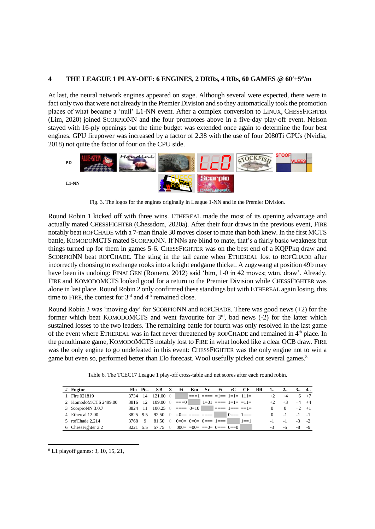## **4 THE LEAGUE 1 PLAY-OFF: 6 ENGINES, 2 DRRs, 4 RRs, 60 GAMES @ 60+5/m**

At last, the neural network engines appeared on stage. Although several were expected, there were in fact only two that were not already in the Premier Division and so they automatically took the promotion places of what became a 'null' L1-NN event. After a complex conversion to LINUX, CHESSFIGHTER (Lim, 2020) joined SCORPIONN and the four promotees above in a five-day play-off event. Nelson stayed with 16-ply openings but the time budget was extended once again to determine the four best engines. GPU firepower was increased by a factor of 2.38 with the use of four 2080Ti GPUs (Nvidia, 2018) not quite the factor of four on the CPU side.



Fig. 3. The logos for the engines originally in League 1-NN and in the Premier Division.

Round Robin 1 kicked off with three wins. ETHEREAL made the most of its opening advantage and actually mated CHESSFIGHTER (Chessdom, 2020a). After their four draws in the previous event, FIRE notably beat ROFCHADE with a 7-man finale 30 moves closer to mate than both knew. In the first MCTS battle, KOMODOMCTS mated SCORPIONN. If NNs are blind to mate, that's a fairly basic weakness but things turned up for them in games 5-6. CHESSFIGHTER was on the best end of a KQPPkq draw and SCORPIONN beat ROFCHADE. The sting in the tail came when ETHEREAL lost to ROFCHADE after incorrectly choosing to exchange rooks into a knight endgame thicket. A zugzwang at position 49b may have been its undoing: FINALGEN (Romero, 2012) said 'btm, 1-0 in 42 moves; wtm, draw'. Already, FIRE and KOMODOMCTS looked good for a return to the Premier Division while CHESSFIGHTER was alone in last place. Round Robin 2 only confirmed these standings but with ETHEREAL again losing, this time to FIRE, the contest for  $3<sup>rd</sup>$  and  $4<sup>th</sup>$  remained close.

Round Robin 3 was 'moving day' for SCORPIONN and ROFCHADE. There was good news (+2) for the former which beat KOMODOMCTS and went favourite for  $3<sup>rd</sup>$ , bad news (-2) for the latter which sustained losses to the two leaders. The remaining battle for fourth was only resolved in the last game of the event where ETHEREAL was in fact never threatened by ROFCHADE and remained in 4<sup>th</sup> place. In the penultimate game, KOMODOMCTS notably lost to FIRE in what looked like a clear OCB draw. FIRE was the only engine to go undefeated in this event: CHESSFIGHTER was the only engine not to win a game but even so, performed better than Elo forecast. Wool usefully picked out several games.<sup>8</sup>

| Table 6. The TCEC17 League 1 play-off cross-table and net scores after each round robin. |  |  |
|------------------------------------------------------------------------------------------|--|--|
|------------------------------------------------------------------------------------------|--|--|

| Table 6. The TCEC17 League 1 play-off cross-table and net scores after each round robin. |         |          |                                                                                                 |             |                                         |     |                        |    |     |                                   |           |          |             |      |           |
|------------------------------------------------------------------------------------------|---------|----------|-------------------------------------------------------------------------------------------------|-------------|-----------------------------------------|-----|------------------------|----|-----|-----------------------------------|-----------|----------|-------------|------|-----------|
| $#$ Engine                                                                               |         | Elo Pts. | SB.                                                                                             | $\mathbf x$ | Fi                                      | Km. | Sc.                    | Et | rC. | СF                                | <b>RR</b> |          | $2_{\cdot}$ |      | 3 4       |
| 1 Fire 021819                                                                            | 3734    | -14      | $121.00$ 0                                                                                      |             |                                         |     |                        |    |     | $\equiv$ ===1 ==== =1== 1=1= 111= |           | $+2$     | $+4$        |      | $+6$ $+7$ |
| 2 KomodoMCTS 2499.00                                                                     | 3816 12 |          | $109.00 \quad \odot$                                                                            |             | $==-0$                                  |     |                        |    |     | $1=01$ ==== $1=1$ = $=11$ =       |           |          | $+3$        |      | $+4$ $+4$ |
| 3 ScorpioNN 3.0.7                                                                        | 3824 11 |          | $100.25 \quad 0 \quad = = \quad 0 = 10$ $= \quad = \quad = \quad 1 = \quad = \quad = \quad 1 =$ |             |                                         |     |                        |    |     |                                   |           | $\Omega$ | $\Omega$    |      | $+2$ $+1$ |
| 4 Ethereal 12.00                                                                         | 3825 95 |          | $92.50 \quad \odot$                                                                             |             |                                         |     | $=0 == == == == == ==$ |    |     | $0 == 1 ==$                       |           | $\Omega$ | $-1$        | $-1$ | $-1$      |
| 5 rofChade 2.214                                                                         | 3768 9  |          | $81.50 \quad \odot$                                                                             |             | $0=0=$ $0=0=$ $0= 1=-$                  |     |                        |    |     | $1 = -1$                          |           | $-1$     | $-1$        |      | $-3 - 2$  |
| 6 ChessFighter 3.2                                                                       | 3221 55 |          |                                                                                                 |             | 57.75 $\qquad$ 000= =00= ==0= 0=== 0==0 |     |                        |    |     |                                   |           |          | -5          | $-8$ | $-9$      |

<sup>8</sup> L1 playoff games: 3, 10, 15, 21,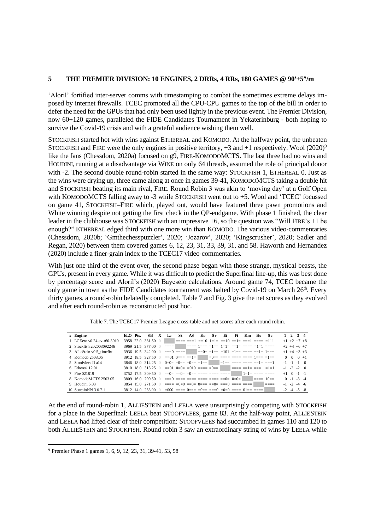# **5 THE PREMIER DIVISION: 10 ENGINES, 2 DRRs, 4 RRs, 180 GAMES @ 90+5/m**

'Aloril' fortified inter-server comms with timestamping to combat the sometimes extreme delays imposed by internet firewalls. TCEC promoted all the CPU-CPU games to the top of the bill in order to defer the need for the GPUs that had only been used lightly in the previous event. The Premier Division, now 60+120 games, paralleled the FIDE Candidates Tournament in Yekaterinburg - both hoping to survive the Covid-19 crisis and with a grateful audience wishing them well.

STOCKFISH started hot with wins against ETHEREAL and KOMODO. At the halfway point, the unbeaten STOCKFISH and FIRE were the only engines in positive territory,  $+3$  and  $+1$  respectively. Wool (2020)<sup>9</sup> like the fans (Chessdom, 2020a) focused on g9, FIRE-KOMODOMCTS. The last three had no wins and HOUDINI, running at a disadvantage via WINE on only 64 threads, assumed the role of principal donor with -2. The second double round-robin started in the same way: STOCKFISH 1, ETHEREAL 0. Just as the wins were drying up, three came along at once in games 39-41, KOMODOMCTS taking a double hit and STOCKFISH beating its main rival, FIRE. Round Robin 3 was akin to 'moving day' at a Golf Open with KOMODOMCTS falling away to -3 while STOCKFISH went out to +5. Wool and 'TCEC' focussed on game 41, STOCKFISH–FIRE which, played out, would have featured three pawn promotions and White winning despite not getting the first check in the QP-endgame. With phase 1 finished, the clear leader in the clubhouse was STOCKFISH with an impressive +6, so the question was "Will FIRE's +1 be enough?" ETHEREAL edged third with one more win than KOMODO. The various video-commentaries (Chessdom, 2020b; 'Gmthechesspuzzler', 2020; 'Jozarov', 2020; 'Kingscrusher', 2020; Sadler and Regan, 2020) between them covered games 6, 12, 23, 31, 33, 39, 31, and 58. Haworth and Hernandez (2020) include a finer-grain index to the TCEC17 video-commentaries.

With just one third of the event over, the second phase began with those strange, mystical beasts, the GPUs, present in every game. While it was difficult to predict the Superfinal line-up, this was best done by percentage score and Aloril's (2020) Bayeselo calculations. Around game 74, TCEC became the only game in town as the FIDE Candidates tournament was halted by Covid-19 on March 26<sup>th</sup>. Every thirty games, a round-robin belatedly completed. Table 7 and Fig. 3 give the net scores as they evolved and after each round-robin as reconstructed post hoc.

| # Engine                     | ELO Pts. |           | SB.                                                                 | X         | Le                                                                                                                                                                                                                                                                                                        | St. | AS | Ko | Sv. | Et. | Fi | Km. | Ho.                                                                                                                                                                                                                                                                                                                                                                                                                 | Sc. |  | $1 \t2 \t3 \t4$     |               |
|------------------------------|----------|-----------|---------------------------------------------------------------------|-----------|-----------------------------------------------------------------------------------------------------------------------------------------------------------------------------------------------------------------------------------------------------------------------------------------------------------|-----|----|----|-----|-----|----|-----|---------------------------------------------------------------------------------------------------------------------------------------------------------------------------------------------------------------------------------------------------------------------------------------------------------------------------------------------------------------------------------------------------------------------|-----|--|---------------------|---------------|
| 1 I.C.Zero v0.24-sv-t60-3010 |          | 3958 22.0 | 381.50                                                              |           |                                                                                                                                                                                                                                                                                                           |     |    |    |     |     |    |     | $\mid$ ==== ===1 ==10 1=1= ==10 ==1= ===1 ==== =111                                                                                                                                                                                                                                                                                                                                                                 |     |  |                     | $+1$ +2 +7 +8 |
| 2 Stockfish 202003092246     |          |           | 3969 21.5 377.00                                                    | $\bigcap$ | enne i enne less ales lala dels coso alel coso                                                                                                                                                                                                                                                            |     |    |    |     |     |    |     |                                                                                                                                                                                                                                                                                                                                                                                                                     |     |  | $+2$ +4 +6 +7       |               |
| 3 AllieStein v0.5 timefix-   |          |           | 3936 19.5 342.00                                                    | $\bigcap$ |                                                                                                                                                                                                                                                                                                           |     |    |    |     |     |    |     | $=$ $=$ $\frac{1}{2}$ $=$ $\frac{1}{2}$ $=$ $\frac{1}{2}$ $=$ $\frac{1}{2}$ $=$ $\frac{1}{2}$ $=$ $\frac{1}{2}$ $=$ $\frac{1}{2}$ $=$ $\frac{1}{2}$                                                                                                                                                                                                                                                                 |     |  | $+1$ +4 +3 +3       |               |
| 4 Komodo 2503.05             |          |           | 3912 18.5 327.50 0                                                  |           |                                                                                                                                                                                                                                                                                                           |     |    |    |     |     |    |     |                                                                                                                                                                                                                                                                                                                                                                                                                     |     |  | $0 \t 0 \t 0 +1$    |               |
| 5 Stoofvlees II a14          |          |           | 3846 18.0 314.25 0                                                  |           |                                                                                                                                                                                                                                                                                                           |     |    |    |     |     |    |     | $0=0=$ $=0=$ $=0=$ $=1=$ $\blacksquare$ $=1=$ $\blacksquare$ $=$ $=$ $\blacksquare$ $=$ $\blacksquare$ $=$ $\blacksquare$ $=$ $\blacksquare$ $\blacksquare$ $=$ $\blacksquare$ $\blacksquare$ $=$ $\blacksquare$ $\blacksquare$ $\blacksquare$ $\blacksquare$ $\blacksquare$ $\blacksquare$ $\blacksquare$ $\blacksquare$ $\blacksquare$ $\blacksquare$ $\blacksquare$ $\blacksquare$ $\blacksquare$ $\blacksquare$ |     |  | $-1$ $-1$ $-1$ 0    |               |
| 6 Ethereal 12.01             |          |           | 3810 18.0 313.25                                                    | $\bigcap$ |                                                                                                                                                                                                                                                                                                           |     |    |    |     |     |    |     | $==01$ $0=0=$ $=010$ $===0=$                                                                                                                                                                                                                                                                                                                                                                                        |     |  | $-1$ $-2$ $-2$ 0    |               |
| 7 Fire 021819                |          |           | 3752 17.5 309.50                                                    | $\bigcap$ |                                                                                                                                                                                                                                                                                                           |     |    |    |     |     |    |     |                                                                                                                                                                                                                                                                                                                                                                                                                     |     |  | $+1$ 0 $-1$ $-1$    |               |
| 8 KomodoMCTS 2503.05         |          |           | 3809 16.0 290.50                                                    | $\bigcap$ |                                                                                                                                                                                                                                                                                                           |     |    |    |     |     |    |     |                                                                                                                                                                                                                                                                                                                                                                                                                     |     |  | $0 -1 -3 -4$        |               |
| 9 Houdini 6.03               |          |           | 3854 15.0 271.50 0                                                  |           | $\frac{1}{1}$ = $\frac{1}{1}$ = $\frac{1}{1}$ = $\frac{1}{1}$ = $\frac{1}{1}$ = $\frac{1}{1}$ = $\frac{1}{1}$ = $\frac{1}{1}$ = $\frac{1}{1}$ = $\frac{1}{1}$ = $\frac{1}{1}$ = $\frac{1}{1}$ = $\frac{1}{1}$ = $\frac{1}{1}$ = $\frac{1}{1}$ = $\frac{1}{1}$ = $\frac{1}{1}$ = $\frac{1}{1}$ = $\frac{1$ |     |    |    |     |     |    |     |                                                                                                                                                                                                                                                                                                                                                                                                                     |     |  | $-1$ $-2$ $-4$ $-6$ |               |
| 10 ScorpioNN 3.0.7.1         |          |           | $3812$ 14.0 $253.00$ 0 =000 ==== 0=== =0== ===0 =0=0 ==== 01== ==== |           |                                                                                                                                                                                                                                                                                                           |     |    |    |     |     |    |     |                                                                                                                                                                                                                                                                                                                                                                                                                     |     |  | $-2$ $-4$ $-5$ $-8$ |               |

Table 7. The TCEC17 Premier League cross-table and net scores after each round robin.

At the end of round-robin 1, ALLIESTEIN and LEELA were unsurprisingly competing with STOCKFISH for a place in the Superfinal: LEELA beat STOOFVLEES, game 83. At the half-way point, ALLIESTEIN and LEELA had lifted clear of their competition: STOOFVLEES had succumbed in games 110 and 120 to both ALLIESTEIN and STOCKFISH. Round robin 3 saw an extraordinary string of wins by LEELA while

<sup>9</sup> Premier Phase 1 games 1, 6, 9, 12, 23, 31, 39-41, 53, 58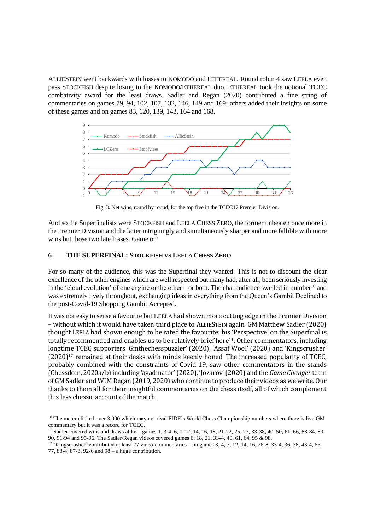ALLIESTEIN went backwards with losses to KOMODO and ETHEREAL. Round robin 4 saw LEELA even pass STOCKFISH despite losing to the KOMODO/ETHEREAL duo. ETHEREAL took the notional TCEC combativity award for the least draws. Sadler and Regan (2020) contributed a fine string of commentaries on games 79, 94, 102, 107, 132, 146, 149 and 169: others added their insights on some of these games and on games 83, 120, 139, 143, 164 and 168.



Fig. 3. Net wins, round by round, for the top five in the TCEC17 Premier Division.

And so the Superfinalists were STOCKFISH and LEELA CHESS ZERO, the former unbeaten once more in the Premier Division and the latter intriguingly and simultaneously sharper and more fallible with more wins but those two late losses. Game on!

# **6 THE SUPERFINAL: STOCKFISH VS LEELA CHESS ZERO**

For so many of the audience, this was the Superfinal they wanted. This is not to discount the clear excellence of the other engines which are well respected but many had, after all, been seriously investing in the 'cloud evolution' of one engine or the other – or both. The chat audience swelled in number<sup>10</sup> and was extremely lively throughout, exchanging ideas in everything from the Queen's Gambit Declined to the post-Covid-19 Shopping Gambit Accepted.

It was not easy to sense a favourite but LEELA had shown more cutting edge in the Premier Division – without which it would have taken third place to ALLIESTEIN again. GM Matthew Sadler (2020) thought LEELA had shown enough to be rated the favourite: his 'Perspective' on the Superfinal is totally recommended and enables us to be relatively brief here11. Other commentators, including longtime TCEC supporters 'Gmthechesspuzzler' (2020), 'Assaf Wool' (2020) and 'Kingscrusher' (2020) <sup>12</sup> remained at their desks with minds keenly honed. The increased popularity of TCEC, probably combined with the constraints of Covid-19, saw other commentators in the stands (Chessdom, 2020a/b)including 'agadmator'(2020), 'Jozarov' (2020) and the *Game Changer* team of GM Sadler and WIM Regan (2019, 2020) who continue to produce their videos as we write. Our thanks to them all for their insightful commentaries on the chess itself, all of which complement this less chessic account of the match.

<sup>&</sup>lt;sup>10</sup> The meter clicked over 3,000 which may not rival FIDE's World Chess Championship numbers where there is live GM commentary but it was a record for TCEC.

<sup>11</sup> Sadler covered wins and draws alike – games 1, 3-4, 6, 1-12, 14, 16, 18, 21-22, 25, 27, 33-38, 40, 50, 61, 66, 83-84, 89- 90, 91-94 and 95-96. The Sadler/Regan videos covered games 6, 18, 21, 33-4, 40, 61, 64, 95 & 98.

 $12$  'Kingscrusher' contributed at least 27 video-commentaries – on games 3, 4, 7, 12, 14, 16, 26-8, 33-4, 36, 38, 43-4, 66, 77, 83-4, 87-8, 92-6 and 98 – a huge contribution.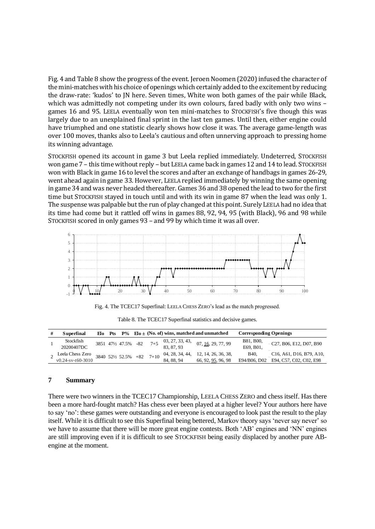Fig. 4 and Table 8 show the progress of the event. Jeroen Noomen (2020) infused the character of the mini-matches with his choice of openings which certainly added to the excitement by reducing the draw-rate: 'kudos' to JN here. Seven times, White won both games of the pair while Black, which was admittedly not competing under its own colours, fared badly with only two wins – games 16 and 95. LEELA eventually won ten mini-matches to STOCKFISH's five though this was largely due to an unexplained final sprint in the last ten games. Until then, either engine could have triumphed and one statistic clearly shows how close it was. The average game-length was over 100 moves, thanks also to Leela's cautious and often unnerving approach to pressing home its winning advantage.

STOCKFISH opened its account in game 3 but Leela replied immediately. Undeterred, STOCKFISH won game 7 – this time without reply – but LEELA came back in games 12 and 14 to lead. STOCKFISH won with Black in game 16 to level the scores and after an exchange of handbags in games 26-29, went ahead again in game 33. However, LEELA replied immediately by winning the same opening in game 34 and was never headed thereafter. Games 36 and 38 opened the lead to two for the first time but STOCKFISH stayed in touch until and with its win in game 87 when the lead was only 1. The suspense was palpable but the run of play changed at this point. Surely LEELA had no idea that its time had come but it rattled off wins in games 88, 92, 94, 95 (with Black), 96 and 98 while STOCKFISH scored in only games 93 – and 99 by which time it was all over.



Fig. 4. The TCEC17 Superfinal: LEELA CHESS ZERO's lead as the match progressed.

| Superfinal        |  |                           |     |       |                 | Elo Pts $P\%$ Elo $\pm$ (No. of) wins, matched and unmatched | <b>Corresponding Openings</b> |                                                                                           |
|-------------------|--|---------------------------|-----|-------|-----------------|--------------------------------------------------------------|-------------------------------|-------------------------------------------------------------------------------------------|
| Stockfish         |  | 3851 47½ 47.5%            | -82 | $7+5$ | 03, 27, 33, 43, | 07, 16, 29, 77, 99                                           | B81, B00,                     | $-C27, B06, E12, D07, B90$                                                                |
| 20200407DC        |  |                           |     |       | 83, 87, 93      |                                                              | E69, B01.                     |                                                                                           |
| Leela Chess Zero  |  | 3840 521/2 52.5% +82 7+10 |     |       |                 | 04, 28, 34, 44, 12, 14, 26, 36, 38,                          | B <sub>40</sub> .             | C <sub>16</sub> , A <sub>61</sub> , D <sub>16</sub> , B <sub>79</sub> , A <sub>10</sub> , |
| v0.24-sv-t60-3010 |  |                           |     |       | 84, 88, 94      | 66, 92, 95, 96, 98                                           |                               | E94/B06, D02 E94, C57, C02, C02, E98                                                      |

Table 8. The TCEC17 Superfinal statistics and decisive games.

#### **7 Summary**

There were two winners in the TCEC17 Championship, LEELA CHESS ZERO and chess itself. Has there been a more hard-fought match? Has chess ever been played at a higher level? Your authors here have to say 'no': these games were outstanding and everyone is encouraged to look past the result to the play itself. While it is difficult to see this Superfinal being bettered, Markov theory says 'never say never' so we have to assume that there will be more great engine contests. Both 'AB' engines and 'NN' engines are still improving even if it is difficult to see STOCKFISH being easily displaced by another pure ABengine at the moment.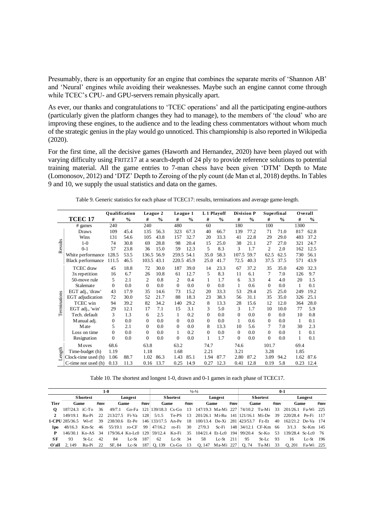Presumably, there is an opportunity for an engine that combines the separate merits of 'Shannon AB' and 'Neural' engines while avoiding their weaknesses. Maybe such an engine cannot come through while TCEC's CPU- and GPU-servers remain physically apart.

As ever, our thanks and congratulations to 'TCEC operations' and all the participating engine-authors (particularly given the platform changes they had to manage), to the members of 'the cloud' who are improving these engines, to the audience and to the leading chess commentators without whom much of the strategic genius in the play would go unnoticed. This championship is also reported in Wikipedia (2020).

For the first time, all the decisive games (Haworth and Hernandez, 2020) have been played out with varying difficulty using FRITZ17 at a search-depth of 24 ply to provide reference solutions to potential training material. All the game entries to 7-man chess have been given 'DTM' Depth to Mate (Lomonosov, 2012) and 'DTZ' Depth to Zeroing of the ply count (de Man et al, 2018) depths. In Tables 9 and 10, we supply the usual statistics and data on the games.

|              | Table 9. Generic statistics for each phase of TCEC17: results, terminations and average game-length. |               |               |                |               |          |               |             |               |                   |               |                |               |                 |               |
|--------------|------------------------------------------------------------------------------------------------------|---------------|---------------|----------------|---------------|----------|---------------|-------------|---------------|-------------------|---------------|----------------|---------------|-----------------|---------------|
|              |                                                                                                      | Qualification |               | League 2       |               | League 1 |               | L 1 Playoff |               | <b>Division P</b> |               | Superfinal     |               | <b>O</b> verall |               |
|              | <b>TCEC 17</b>                                                                                       | #             | $\frac{0}{0}$ | #              | $\frac{0}{0}$ | #        | $\frac{0}{0}$ | #           | $\frac{0}{0}$ | #                 | $\frac{0}{0}$ | #              | $\frac{0}{0}$ | #               | $\frac{6}{9}$ |
|              | $#$ games                                                                                            | 240           |               | 240            |               | 480      |               | 60          |               | 180               |               | 100            |               | 1300            |               |
|              | <b>Draws</b>                                                                                         | 109           | 45.4          | 135            | 56.3          | 323      | 67.3          | 40          | 66.7          | 139               | 77.2          | 71             | 71.0          | 817             | 62.8          |
|              | Wins                                                                                                 | 131           | 54.6          | 105            | 43.8          | 157      | 32.7          | 20          | 33.3          | 41                | 22.8          | 29             | 29.0          | 483             | 37.2          |
| Results      | $1-0$                                                                                                | 74            | 30.8          | 69             | 28.8          | 98       | 20.4          | 15          | 25.0          | 38                | 21.1          | 27             | 27.0          | 321             | 24.7          |
|              | $0-1$                                                                                                | 57            | 23.8          | 36             | 15.0          | 59       | 12.3          | 5           | 8.3           | 3                 | 1.7           | $\overline{c}$ | 2.0           | 162             | 12.5          |
|              | White performance                                                                                    | 128.5         | 53.5          | 136.5          | 56.9          | 259.5    | 54.1          | 35.0        | 58.3          | 107.5             | 59.7          | 62.5           | 62.5          | 730             | 56.1          |
|              | <b>Black performance</b>                                                                             | 111.5         | 46.5          | 103.5          | 43.1          | 220.5    | 45.9          | 25.0        | 41.7          | 72.5              | 40.3          | 37.5           | 37.5          | 571             | 43.9          |
|              | <b>TCEC</b> draw                                                                                     | 45            | 18.8          | 72             | 30.0          | 187      | 39.0          | 14          | 23.3          | 67                | 37.2          | 35             | 35.0          | 420             | 32.3          |
|              | 3x repetition                                                                                        | 16            | 6.7           | 26             | 10.8          | 61       | 12.7          | 5           | 8.3           | 11                | 6.1           | 7              | 7.0           | 126             | 9.7           |
|              | 50-move rule                                                                                         | 5             | 2.1           | $\overline{c}$ | 0.8           | 2        | 0.4           | 1           | 1.7           | 6                 | 3.3           | 4              | 4.0           | 20              | 1.5           |
|              | Stalemate                                                                                            | $\Omega$      | 0.0           | $\Omega$       | 0.0           | $\Omega$ | 0.0           | $\Omega$    | 0.0           | 1                 | 0.6           | $\Omega$       | 0.0           | 1               | 0.1           |
|              | EGT adj., 'draw'                                                                                     | 43            | 17.9          | 35             | 14.6          | 73       | 15.2          | 20          | 33.3          | 53                | 29.4          | 25             | 25.0          | 249             | 19.2          |
|              | EGT adjudication                                                                                     | 72            | 30.0          | 52             | 21.7          | 88       | 18.3          | 23          | 38.3          | 56                | 31.1          | 35             | 35.0          | 326             | 25.1          |
|              | <b>TCEC</b> win                                                                                      | 94            | 39.2          | 82             | 34.2          | 140      | 29.2          | 8           | 13.3          | 28                | 15.6          | 12             | 12.0          | 364             | 28.0          |
| Terminations | EGT adj., 'win'                                                                                      | 29            | 12.1          | 17             | 7.1           | 15       | 3.1           | 3           | 5.0           | 3                 | 1.7           | 10             | 10.0          | 77              | 5.9           |
|              | Tech. default                                                                                        | 3             | 1.3           | 6              | 2.5           | 1        | 0.2           | $\Omega$    | 0.0           | $\Omega$          | 0.0           | $\Omega$       | 0.0           | 10              | 0.8           |
|              | M anual adj.                                                                                         | $\mathbf{0}$  | 0.0           | $\Omega$       | 0.0           | $\Omega$ | 0.0           | $\Omega$    | 0.0           | 1                 | 0.6           | $\Omega$       | 0.0           | 1               | 0.1           |
|              | <b>M</b> ate                                                                                         | 5             | 2.1           | $\Omega$       | 0.0           | $\theta$ | 0.0           | 8           | 13.3          | 10                | 5.6           | 7              | 7.0           | 30              | 2.3           |
|              | Loss on time                                                                                         | $\Omega$      | 0.0           | $\Omega$       | 0.0           | 1        | 0.2           | $\Omega$    | 0.0           | $\overline{0}$    | 0.0           | $\Omega$       | 0.0           | 1               | 0.1           |
|              | Resignation                                                                                          | $\theta$      | 0.0           | $\Omega$       | 0.0           | $\Omega$ | 0.0           | 1           | 1.7           | $\Omega$          | 0.0           | $\Omega$       | 0.0           | 1               | 0.1           |
|              | Moves                                                                                                | 68.6          |               | 63.8           |               | 63.2     |               | 74.7        |               | 74.6              |               | 101.7          |               | 69.4            |               |
|              | Time-budget (h)                                                                                      | 1.19          |               | 1.18           |               | 1.68     |               | 2.21        |               | 3.21              |               | 3.28           |               | 1.85            |               |
| Length       | Clock-time used (h)                                                                                  | 1.06          | 88.7          | 1.02           | 86.3          | 1.43     | 85.1          | 1.94        | 87.7          | 2.80              | 87.2          | 3.09           | 94.2          | 1.62            | 87.6          |
|              | C-time not used (h)                                                                                  | 0.13          | 11.3          | 0.16           | 13.7          | 0.25     | 14.9          | 0.27        | 12.3          | 0.41              | 12.8          | 0.19           | 5.8           | 0.23            | 12.4          |

Table 9. Generic statistics for each phase of TCEC17: results, terminations and average game-length.

| Table 10. The shortest and longest 1-0, drawn and 0-1 games in each phase of TCEC17. |  |  |  |
|--------------------------------------------------------------------------------------|--|--|--|
|--------------------------------------------------------------------------------------|--|--|--|

|                 |                     |                 |              | $1-0$                   |             |            |                               |                 |      | $\frac{1}{2} - \frac{1}{2}$       |         |       |                                  |                 | $0-1$ |                      |             |       |
|-----------------|---------------------|-----------------|--------------|-------------------------|-------------|------------|-------------------------------|-----------------|------|-----------------------------------|---------|-------|----------------------------------|-----------------|-------|----------------------|-------------|-------|
|                 |                     | <b>Shortest</b> |              |                         | Longest     |            |                               | <b>Shortest</b> |      |                                   | Longest |       |                                  | <b>Shortest</b> |       |                      | Longest     |       |
| <b>Tier</b>     | Game                |                 | #mv          | Game                    |             | #mv        | Game                          |                 | #mv  | Game                              |         | #mv   | Game                             |                 | #mv   | Game                 |             | #mv   |
| $\Omega$        | 187/24.3 iC-To      |                 | 36           | 49/7.1                  | Go-Fa $121$ |            | 139/18.3 Cs-Go                |                 | -13  |                                   |         |       | 147/19.3 Ma-Mi 227 74/10.2 Tu-Mi |                 | 33    | 201/26.1 Fa-Wi 225   |             |       |
|                 | 149/19 1            | $Ru-Pi$         | $22^{\circ}$ | 213/27.5 Fi-Va          |             | <b>128</b> | 5/1.5                         | $Te$ - $PS$     | -13  | 201/26.1 Mi-Ru 141 121/16.1 Mi-De |         |       |                                  |                 | -39   | 220/28.4 Pe-Fi 117   |             |       |
|                 | 1-CPH 285/36.5      | Wi-rf           | 39           | 238/30.6 Et-Pe          |             |            | 146 133/17.5 An-Pe            |                 | - 18 | $100/13.4$ De-Xi                  |         |       | 281 423/53.7 Fz-Et               |                 | 40    | 162/21.2 De-Va 174   |             |       |
| 1 <sub>po</sub> | 48/16.3 Km-Sc       |                 | -46          | 55/19.1 ro-CF           |             | -99        | 47/16.2                       | ro-Fi           | 30   | 27/9.3                            | Sc-Fi   | - 148 | 34/12.1 CF-Km                    |                 | - 66  | 3/1.3                | $Sc-Km$ 145 |       |
|                 | 146/30.1 Ko-AS 34   |                 |              | $179/36.4$ Ko-Lc0 $129$ |             |            | 59/12.4                       | Ko-Fi           | 35   | $104/21.4$ Et-Lc0 194             |         |       | 99/20.4                          | Sc-Ko           | .53   | $139/28.4$ Sc-Le0 76 |             |       |
| SF              | 93                  | $St-I.c$        | $42^{\circ}$ | 84                      | $Lc-St$     | 187        | 62                            | $Lc-St$         | -34  | 58                                | $Lc-St$ | 211   | 95                               | $St-Lc$         | - 93  | 16                   | $Lc-St$     | - 196 |
|                 | <b>O'all</b> 2, 149 | Ru-Pi           | 22           | SF. 84                  |             |            | Lc-St $187$   0, 139 Cs-Go 13 |                 |      | 0,147 Ma-Mi 227                   |         |       | O. 74                            | Tu-Mi 33        |       | O. 201               | Fa-Wi 225   |       |